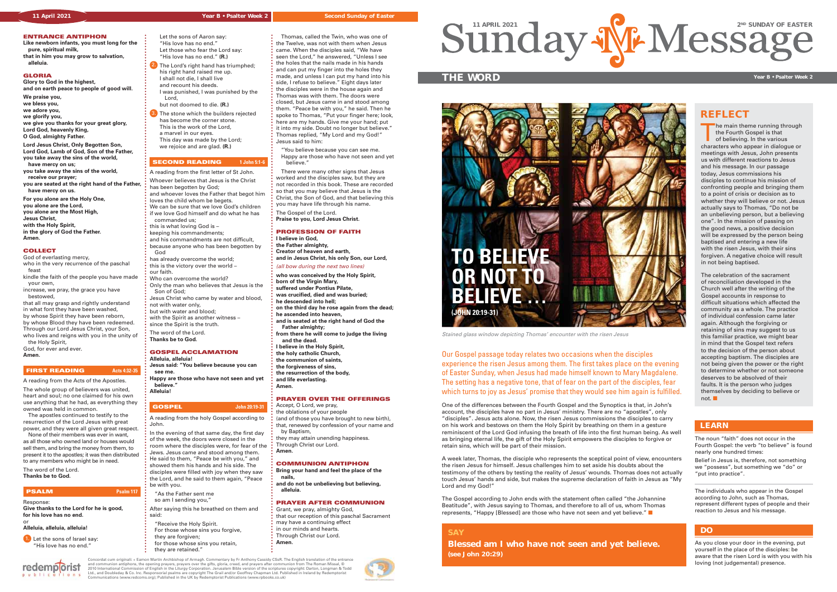

#### **11 April 2021** Second Sunday of Easter Sunday of Easter Second Sunday of Easter

### **ENTRANCE ANTIPHON**

**Like newborn infants, you must long for the pure, spiritual milk, that in him you may grow to salvation, alleluia.**

### **GLORIA**

**Glory to God in the highest, and on earth peace to people of good will.**

**We praise you, we bless you, we adore you, we glorify you, we give you thanks for your great glory, Lord God, heavenly King, O God, almighty Father.**

The whole group of believers was united. heart and soul; no one claimed for his own use anything that he had, as everything they owned was held in common.

**Lord Jesus Christ, Only Begotten Son, Lord God, Lamb of God, Son of the Father, you take away the sins of the world,** 

- **have mercy on us; you take away the sins of the world, receive our prayer;**
- **you are seated at the right hand of the Father, have mercy on us.**

**1.** Let the sons of Israel say: "His love has no end."

**For you alone are the Holy One, you alone are the Lord, you alone are the Most High, Jesus Christ, with the Holy Spirit,**

**in the glory of God the Father. Amen.**

#### **COLLECT**

God of everlasting mercy, who in the very recurrence of the paschal feast

kindle the faith of the people you have made your own,

increase, we pray, the grace you have bestowed,

that all may grasp and rightly understand in what font they have been washed, by whose Spirit they have been reborn, by whose Blood they have been redeemed. Through our Lord Jesus Christ, your Son,

who lives and reigns with you in the unity of the Holy Spirit, God, for ever and ever.

**Amen.**

#### **FIRST READING Acts 4:32-35**

A reading from the Acts of the Apostles.

 The apostles continued to testify to the resurrection of the Lord Jesus with great power, and they were all given great respect.

 None of their members was ever in want, as all those who owned land or houses would sell them, and bring the money from them, to present it to the apostles; it was then distributed to any members who might be in need.

The word of the Lord. **Thanks be to God.** 

# **PSALM Psalm 117**

## Response:

**Give thanks to the Lord for he is good, for his love has no end.**

 $0<sub>n</sub> s$ 

#### or **Alleluia, alleluia, alleluia!**

redemplorist

 Let the sons of Aaron say: "His love has no end." Let those who fear the Lord say:

 "His love has no end." **(R.)** 2. The Lord's right hand has triumphed: his right hand raised me up. I shall not die, I shall live and recount his deeds.

- I was punished, I was punished by the Lord, but not doomed to die. **(R.)**
- 3. The stone which the builders rejected has become the corner stone. This is the work of the Lord, a marvel in our eyes. This day was made by the Lord; we rejoice and are glad. **(R.)**

## **SECOND READING 1 John 5:1-6**

- Accept, O Lord, we pray. the oblations of your people (and of those you have brought to new birth), that, renewed by confession of your name and by Baptism, they may attain unending happiness.
- Through Christ our Lord. **Amen.**

Our Gospel passage today relates two occasions when the disciples experience the risen Jesus among them. The first takes place on the evening of Easter Sunday, when Jesus had made himself known to Mary Magdalene. The setting has a negative tone, that of fear on the part of the disciples, fear which turns to joy as Jesus' promise that they would see him again is fulfilled.

- A reading from the first letter of St John. Whoever believes that Jesus is the Christ
- has been begotten by God; and whoever loves the Father that begot him
- loves the child whom be begets.
- We can be sure that we love God's children if we love God himself and do what he has
- commanded us;
- this is what loving God is –
- keeping his commandments; and his commandments are not difficult,
- because anyone who has been begotten by
- God has already overcome the world;
- this is the victory over the world our faith.
- Who can overcome the world?
- Only the man who believes that Jesus is the Son of God;
- Jesus Christ who came by water and blood,
- not with water only,
- but with water and blood; with the Spirit as another witness –
- since the Spirit is the truth.
- The word of the Lord.
- **Thanks be to God.**

#### **GOSPEL ACCLAMATION**

- **Alleluia, alleluia!**
- **Jesus said: "You believe because you can**
- **see me. Happy are those who have not seen and yet believe."**
- **Alleluia!**

# **GOSPEL John 20:19-31**

- A reading from the holy Gospel according to John.
- In the evening of that same day, the first day of the week, the doors were closed in the room where the disciples were, for fear of the Jews. Jesus came and stood among them. He said to them, "Peace be with you," and showed them his hands and his side. The disciples were filled with joy when they saw the Lord, and he said to them again, "Peace be with you.
- "As the Father sent me so am I sending you, After saying this he breathed on them and
- said: "Receive the Holy Spirit. For those whose sins you forgive,
- they are forgiven: for those whose sins you retain, they are retained."

The main theme running through the Fourth Gospel is that of believing. In the various characters who appear in dialogue or meetings with Jesus, John presents us with different reactions to Jesus and his message. In our passage today, Jesus commissions his disciples to continue his mission of confronting people and bringing them to a point of crisis or decision as to whether they will believe or not. Jesus actually says to Thomas, "Do not be an unbelieving person, but a believing one". In the mission of passing on the good news, a positive decision will be expressed by the person being baptised and entering a new life with the risen Jesus, with their sins forgiven. A negative choice will result in not being baptised.

The celebration of the sacrament of reconciliation developed in the Church well after the writing of the Gospel accounts in response to difficult situations which affected the community as a whole. The practice of individual confession came later again. Although the forgiving or retaining of sins may suggest to us this familiar practice, we might bear in mind that the Gospel text refers to the decision of the person about accepting baptism. The disciples are not being given the power or the right to determine whether or not someone deserves to be absolved of their faults. It is the person who judges themselves by deciding to believe or not.  $\blacksquare$ 

 Thomas, called the Twin, who was one of the Twelve, was not with them when Jesus came. When the disciples said, "We have seen the Lord," he answered, "Unless I see the holes that the nails made in his hands and can put my finger into the holes they made, and unless I can put my hand into his side, I refuse to believe." Eight days later the disciples were in the house again and Thomas was with them. The doors were closed, but Jesus came in and stood among them. "Peace be with you," he said. Then he spoke to Thomas, "Put your finger here; look, here are my hands. Give me your hand; put it into my side. Doubt no longer but believe." Thomas replied, "My Lord and my God!" Jesus said to him:

 "You believe because you can see me. Happy are those who have not seen and yet believe."

 There were many other signs that Jesus worked and the disciples saw, but they are not recorded in this book. These are recorded so that you may believe that Jesus is the Christ, the Son of God, and that believing this you may have life through his name.

The Gospel of the Lord. **Praise to you, Lord Jesus Christ.**

### **PROFESSION OF FAITH**

**I believe in God,**

- **the Father almighty, Creator of heaven and earth,**
- **and in Jesus Christ, his only Son, our Lord,**

#### (all bow during the next two lines)

**who was conceived by the Holy Spirit, born of the Virgin Mary, suffered under Pontius Pilate, was crucified, died and was buried;**

- **he descended into hell;**
- **on the third day he rose again from the dead;**
- **he ascended into heaven, and is seated at the right hand of God the**
- **Father almighty;**
- **from there he will come to judge the living and the dead.**
- **I believe in the Holy Spirit,**
- **the holy catholic Church,**
- **the communion of saints,**
- **the forgiveness of sins, the resurrection of the body,**
- **and life everlasting.**

**Amen.**

# **PRAYER OVER THE OFFERINGS**

# **COMMUNION ANTIPHON**

#### **Bring your hand and feel the place of the nails,**

**and do not be unbelieving but believing, alleluia.**

#### **PRAYER AFTER COMMUNION**

- Grant, we pray, almighty God, that our reception of this paschal Sacrament may have a continuing effect in our minds and hearts.
- Through Christ our Lord. **Amen.**

Concordat cum originali: + Eamon Martin Archbishop of Armagh. Commentary by Fr Anthony Cassidy CSsR. The English translation of the entrance<br>and communion antiphons, the opening prayers, prayers over the gifts, gloria, ror

**Year B • Psalter Week 2**

One of the differences between the Fourth Gospel and the Synoptics is that, in John's account, the disciples have no part in Jesus' ministry. There are no "apostles", only "disciples". Jesus acts alone. Now, the risen Jesus commissions the disciples to carry on his work and bestows on them the Holy Spirit by breathing on them in a gesture reminiscent of the Lord God infusing the breath of life into the first human being. As well as bringing eternal life, the gift of the Holy Spirit empowers the disciples to forgive or retain sins, which will be part of their mission.

A week later, Thomas, the disciple who represents the sceptical point of view, encounters the risen Jesus for himself. Jesus challenges him to set aside his doubts about the testimony of the others by testing the reality of Jesus' wounds. Thomas does not actually touch Jesus' hands and side, but makes the supreme declaration of faith in Jesus as "My Lord and my God!"

The Gospel according to John ends with the statement often called "the Johannine Beatitude", with Jesus saying to Thomas, and therefore to all of us, whom Thomas represents, "Happy [Blessed] are those who have not seen and yet believe." Q

> As you close your door in the evening, put yourself in the place of the disciples: be aware that the risen Lord is with you with his loving (not judgemental) presence.

## **DO**



# **REFLECT**

**SAY**

# **Blessed am I who have not seen and yet believe.**

**(see John 20:29)**

The noun "faith" does not occur in the Fourth Gospel: the verb "to believe" is found nearly one hundred times:

Belief in Jesus is, therefore, not something we "possess", but something we "do" or "put into practice".

The individuals who appear in the Gospel according to John, such as Thomas, represent different types of people and their reaction to Jesus and his message.

# **LEARN**

Stained glass window depicting Thomas' encounter with the risen Jesus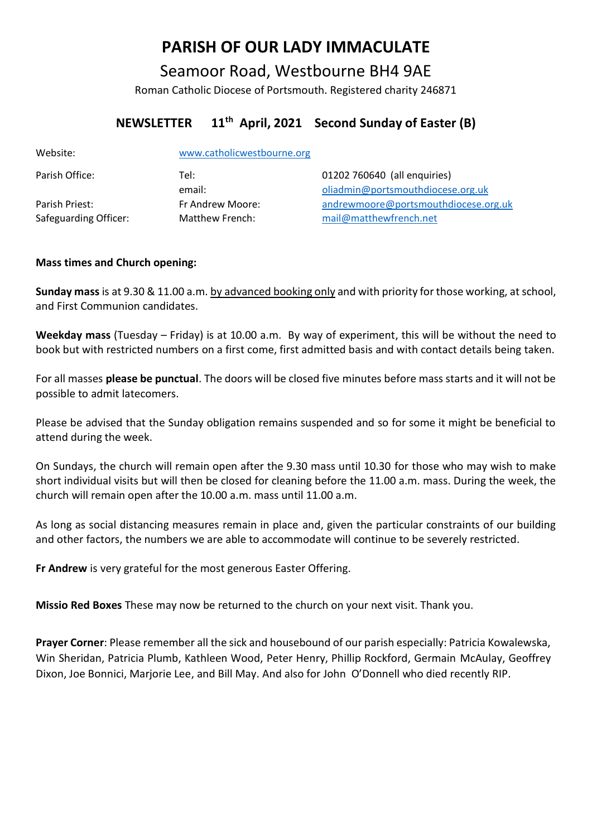# **PARISH OF OUR LADY IMMACULATE**

Seamoor Road, Westbourne BH4 9AE

Roman Catholic Diocese of Portsmouth. Registered charity 246871

# **NEWSLETTER 11th April, 2021 Second Sunday of Easter (B)**

| Website:              | www.catholicwestbourne.org |                                      |
|-----------------------|----------------------------|--------------------------------------|
| Parish Office:        | Tel:                       | 01202 760640 (all enquiries)         |
|                       | email:                     | oliadmin@portsmouthdiocese.org.uk    |
| Parish Priest:        | Fr Andrew Moore:           | andrewmoore@portsmouthdiocese.org.uk |
| Safeguarding Officer: | Matthew French:            | mail@matthewfrench.net               |

# **Mass times and Church opening:**

**Sunday mass** is at 9.30 & 11.00 a.m. by advanced booking only and with priority for those working, at school, and First Communion candidates.

**Weekday mass** (Tuesday – Friday) is at 10.00 a.m. By way of experiment, this will be without the need to book but with restricted numbers on a first come, first admitted basis and with contact details being taken.

For all masses **please be punctual**. The doors will be closed five minutes before mass starts and it will not be possible to admit latecomers.

Please be advised that the Sunday obligation remains suspended and so for some it might be beneficial to attend during the week.

On Sundays, the church will remain open after the 9.30 mass until 10.30 for those who may wish to make short individual visits but will then be closed for cleaning before the 11.00 a.m. mass. During the week, the church will remain open after the 10.00 a.m. mass until 11.00 a.m.

As long as social distancing measures remain in place and, given the particular constraints of our building and other factors, the numbers we are able to accommodate will continue to be severely restricted.

**Fr Andrew** is very grateful for the most generous Easter Offering.

**Missio Red Boxes** These may now be returned to the church on your next visit. Thank you.

**Prayer Corner**: Please remember all the sick and housebound of our parish especially: Patricia Kowalewska, Win Sheridan, Patricia Plumb, Kathleen Wood, Peter Henry, Phillip Rockford, Germain McAulay, Geoffrey Dixon, Joe Bonnici, Marjorie Lee, and Bill May. And also for John O'Donnell who died recently RIP.